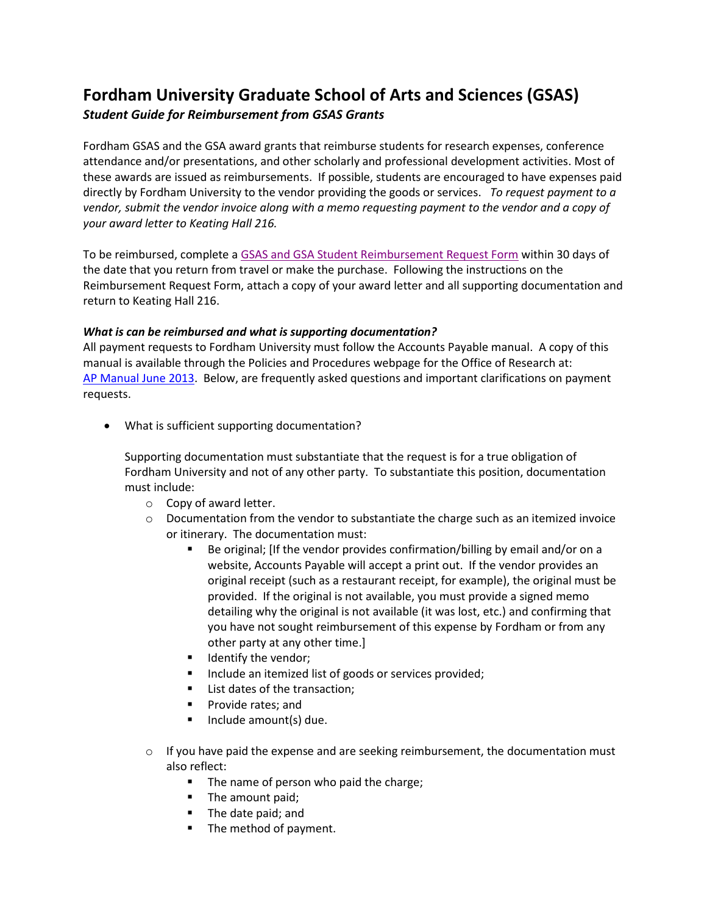## **Fordham University Graduate School of Arts and Sciences (GSAS)** *Student Guide for Reimbursement from GSAS Grants*

Fordham GSAS and the GSA award grants that reimburse students for research expenses, conference attendance and/or presentations, and other scholarly and professional development activities. Most of these awards are issued as reimbursements. If possible, students are encouraged to have expenses paid directly by Fordham University to the vendor providing the goods or services. *To request payment to a vendor, submit the vendor invoice along with a memo requesting payment to the vendor and a copy of your award letter to Keating Hall 216.*

To be reimbursed, complete [a GSAS and GSA Student Reimbursement Request Form](https://www.fordham.edu/downloads/file/9865/gsasgsa_student_reimbursement_request_form) within 30 days of the date that you return from travel or make the purchase. Following the instructions on the Reimbursement Request Form, attach a copy of your award letter and all supporting documentation and return to Keating Hall 216.

## *What is can be reimbursed and what is supporting documentation?*

All payment requests to Fordham University must follow the Accounts Payable manual. A copy of this manual is available through the Policies and Procedures webpage for the Office of Research at: [AP Manual June 2013.](https://www.fordham.edu/downloads/file/5141/ap_manual_june_2013) Below, are frequently asked questions and important clarifications on payment requests.

What is sufficient supporting documentation?

Supporting documentation must substantiate that the request is for a true obligation of Fordham University and not of any other party. To substantiate this position, documentation must include:

- o Copy of award letter.
- $\circ$  Documentation from the vendor to substantiate the charge such as an itemized invoice or itinerary. The documentation must:
	- Be original; [If the vendor provides confirmation/billing by email and/or on a website, Accounts Payable will accept a print out. If the vendor provides an original receipt (such as a restaurant receipt, for example), the original must be provided. If the original is not available, you must provide a signed memo detailing why the original is not available (it was lost, etc.) and confirming that you have not sought reimbursement of this expense by Fordham or from any other party at any other time.]
	- **IDENTIFY the vendor;**
	- Include an itemized list of goods or services provided;
	- List dates of the transaction;
	- **Provide rates; and**
	- $\blacksquare$  Include amount(s) due.
- $\circ$  If you have paid the expense and are seeking reimbursement, the documentation must also reflect:
	- The name of person who paid the charge;
	- The amount paid;
	- **The date paid; and**
	- The method of payment.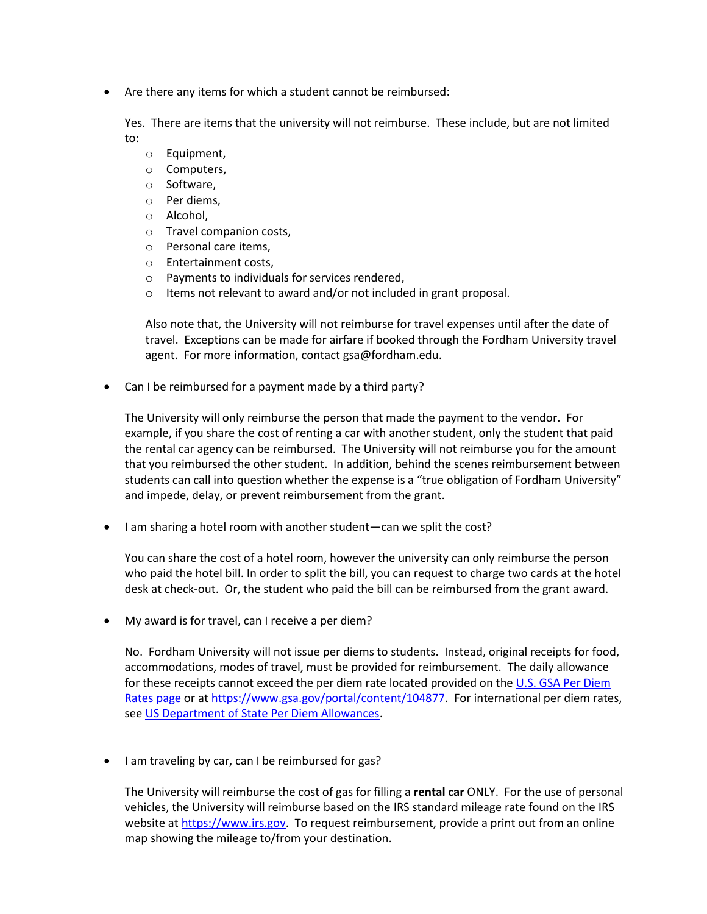Are there any items for which a student cannot be reimbursed:

Yes. There are items that the university will not reimburse. These include, but are not limited to:

- o Equipment,
- o Computers,
- o Software,
- o Per diems,
- o Alcohol,
- o Travel companion costs,
- o Personal care items,
- o Entertainment costs,
- o Payments to individuals for services rendered,
- o Items not relevant to award and/or not included in grant proposal.

Also note that, the University will not reimburse for travel expenses until after the date of travel. Exceptions can be made for airfare if booked through the Fordham University travel agent. For more information, contact gsa@fordham.edu.

Can I be reimbursed for a payment made by a third party?

The University will only reimburse the person that made the payment to the vendor. For example, if you share the cost of renting a car with another student, only the student that paid the rental car agency can be reimbursed. The University will not reimburse you for the amount that you reimbursed the other student. In addition, behind the scenes reimbursement between students can call into question whether the expense is a "true obligation of Fordham University" and impede, delay, or prevent reimbursement from the grant.

• I am sharing a hotel room with another student—can we split the cost?

You can share the cost of a hotel room, however the university can only reimburse the person who paid the hotel bill. In order to split the bill, you can request to charge two cards at the hotel desk at check-out. Or, the student who paid the bill can be reimbursed from the grant award.

My award is for travel, can I receive a per diem?

No. Fordham University will not issue per diems to students. Instead, original receipts for food, accommodations, modes of travel, must be provided for reimbursement. The daily allowance for these receipts cannot exceed the per diem rate located provided on the [U.S. GSA Per Diem](https://www.gsa.gov/portal/content/104877)  [Rates page](https://www.gsa.gov/portal/content/104877) or at [https://www.gsa.gov/portal/content/104877.](https://www.gsa.gov/portal/content/104877) For international per diem rates, se[e US Department of State Per Diem Allowances.](https://aoprals.state.gov/web920/per_diem.asp)

• I am traveling by car, can I be reimbursed for gas?

The University will reimburse the cost of gas for filling a **rental car** ONLY. For the use of personal vehicles, the University will reimburse based on the IRS standard mileage rate found on the IRS website at [https://www.irs.gov.](https://www.irs.gov/) To request reimbursement, provide a print out from an online map showing the mileage to/from your destination.